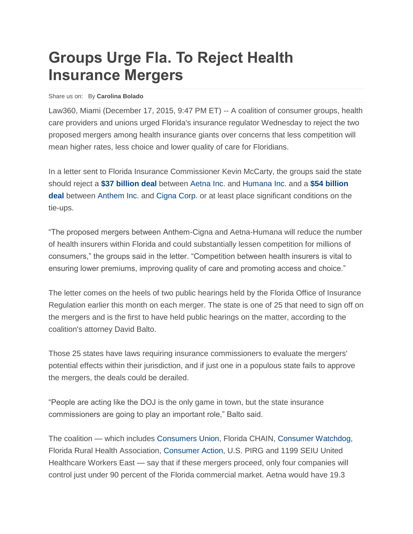## **Groups Urge Fla. To Reject Health Insurance Mergers**

## Share us on: By **Carolina Bolado**

Law360, Miami (December 17, 2015, 9:47 PM ET) -- A coalition of consumer groups, health care providers and unions urged Florida's insurance regulator Wednesday to reject the two proposed mergers among health insurance giants over concerns that less competition will mean higher rates, less choice and lower quality of care for Floridians.

In a letter sent to Florida Insurance Commissioner Kevin McCarty, the groups said the state should reject a **\$37 [billion](http://www.law360.com/articles/675641) deal** between [Aetna Inc.](http://www.law360.com/companies/aetna-inc) and [Humana Inc.](http://www.law360.com/companies/humana-inc) and a **\$54 [billion](http://www.law360.com/articles/683111/anthem-inks-54b-deal-for-cigna) [deal](http://www.law360.com/articles/683111/anthem-inks-54b-deal-for-cigna)** between [Anthem Inc.](http://www.law360.com/companies/anthem-inc) and [Cigna Corp.](http://www.law360.com/companies/cigna-corporation) or at least place significant conditions on the tie-ups.

"The proposed mergers between Anthem-Cigna and Aetna-Humana will reduce the number of health insurers within Florida and could substantially lessen competition for millions of consumers," the groups said in the letter. "Competition between health insurers is vital to ensuring lower premiums, improving quality of care and promoting access and choice."

The letter comes on the heels of two public hearings held by the Florida Office of Insurance Regulation earlier this month on each merger. The state is one of 25 that need to sign off on the mergers and is the first to have held public hearings on the matter, according to the coalition's attorney David Balto.

Those 25 states have laws requiring insurance commissioners to evaluate the mergers' potential effects within their jurisdiction, and if just one in a populous state fails to approve the mergers, the deals could be derailed.

"People are acting like the DOJ is the only game in town, but the state insurance commissioners are going to play an important role," Balto said.

The coalition — which includes [Consumers Union,](http://www.law360.com/companies/consumer-reports) Florida CHAIN, [Consumer Watchdog,](http://www.law360.com/companies/consumer-watchdog) Florida Rural Health Association, [Consumer Action,](http://www.law360.com/companies/consumer-action) U.S. PIRG and 1199 SEIU United Healthcare Workers East — say that if these mergers proceed, only four companies will control just under 90 percent of the Florida commercial market. Aetna would have 19.3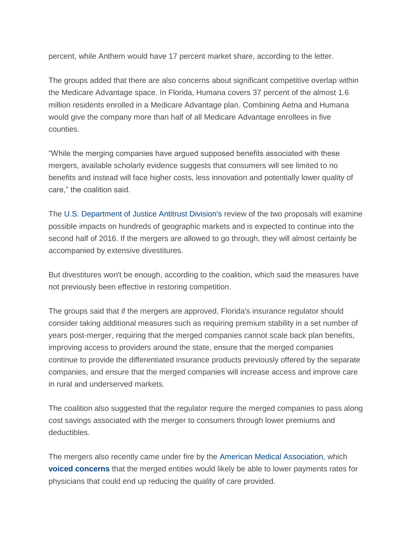percent, while Anthem would have 17 percent market share, according to the letter.

The groups added that there are also concerns about significant competitive overlap within the Medicare Advantage space. In Florida, Humana covers 37 percent of the almost 1.6 million residents enrolled in a Medicare Advantage plan. Combining Aetna and Humana would give the company more than half of all Medicare Advantage enrollees in five counties.

"While the merging companies have argued supposed benefits associated with these mergers, available scholarly evidence suggests that consumers will see limited to no benefits and instead will face higher costs, less innovation and potentially lower quality of care," the coalition said.

The [U.S. Department of Justice Antitrust Division's](http://www.law360.com/agencies/u-s-department-of-justice) review of the two proposals will examine possible impacts on hundreds of geographic markets and is expected to continue into the second half of 2016. If the mergers are allowed to go through, they will almost certainly be accompanied by extensive divestitures.

But divestitures won't be enough, according to the coalition, which said the measures have not previously been effective in restoring competition.

The groups said that if the mergers are approved, Florida's insurance regulator should consider taking additional measures such as requiring premium stability in a set number of years post-merger, requiring that the merged companies cannot scale back plan benefits, improving access to providers around the state, ensure that the merged companies continue to provide the differentiated insurance products previously offered by the separate companies, and ensure that the merged companies will increase access and improve care in rural and underserved markets.

The coalition also suggested that the regulator require the merged companies to pass along cost savings associated with the merger to consumers through lower premiums and deductibles.

The mergers also recently came under fire by the [American Medical Association,](http://www.law360.com/companies/american-medical-association-inc) which **voiced [concerns](http://www.law360.com/articles/726009)** that the merged entities would likely be able to lower payments rates for physicians that could end up reducing the quality of care provided.